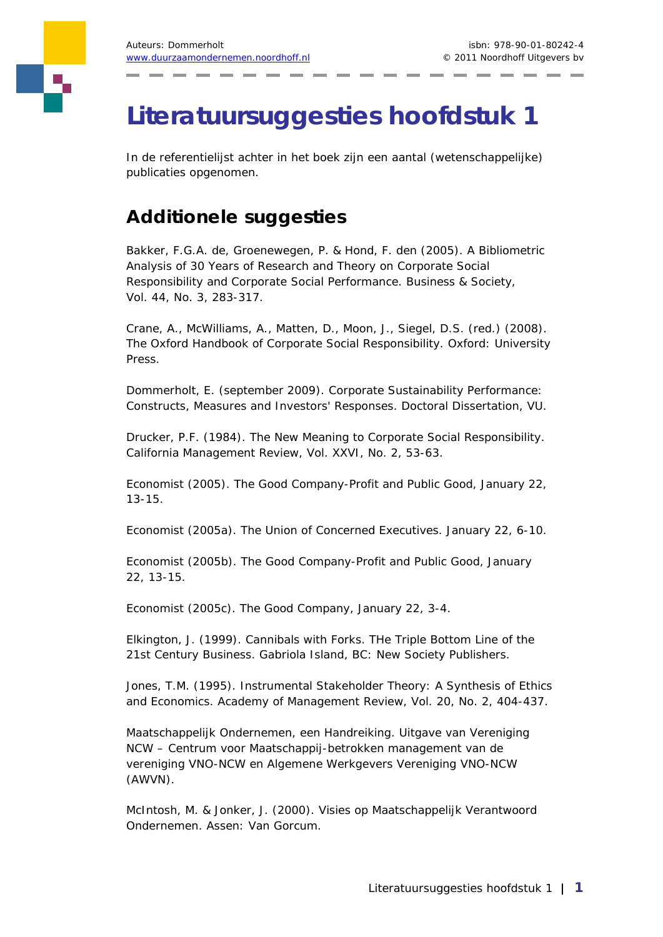## **Literatuursuggesties hoofdstuk 1**

In de referentielijst achter in het boek zijn een aantal (wetenschappelijke) publicaties opgenomen.

## **Additionele suggesties**

Bakker, F.G.A. de, Groenewegen, P. & Hond, F. den (2005). A Bibliometric Analysis of 30 Years of Research and Theory on Corporate Social Responsibility and Corporate Social Performance. *Business & Society*, Vol. 44, No. 3, 283-317.

Crane, A., McWilliams, A., Matten, D., Moon, J., Siegel, D.S. (red.) (2008). The Oxford Handbook of Corporate Social Responsibility. Oxford: University Press.

Dommerholt, E. (september 2009). Corporate Sustainability Performance: Constructs, Measures and Investors' Responses. Doctoral Dissertation, VU.

Drucker, P.F. (1984). The New Meaning to Corporate Social Responsibility. *California Management Review*, Vol. XXVI, No. 2, 53-63.

Economist (2005). The Good Company-Profit and Public Good, January 22, 13-15.

Economist (2005a). The Union of Concerned Executives. January 22, 6-10.

Economist (2005b). The Good Company-Profit and Public Good, January 22, 13-15.

Economist (2005c). The Good Company, January 22, 3-4.

Elkington, J. (1999). Cannibals with Forks. THe Triple Bottom Line of the 21st Century Business. Gabriola Island, BC: New Society Publishers.

Jones, T.M. (1995). Instrumental Stakeholder Theory: A Synthesis of Ethics and Economics. *Academy of Management Review*, Vol. 20, No. 2, 404-437.

Maatschappelijk Ondernemen, een Handreiking. Uitgave van Vereniging NCW – Centrum voor Maatschappij-betrokken management van de vereniging VNO-NCW en Algemene Werkgevers Vereniging VNO-NCW (AWVN).

McIntosh, M. & Jonker, J. (2000). Visies op Maatschappelijk Verantwoord Ondernemen. Assen: Van Gorcum.